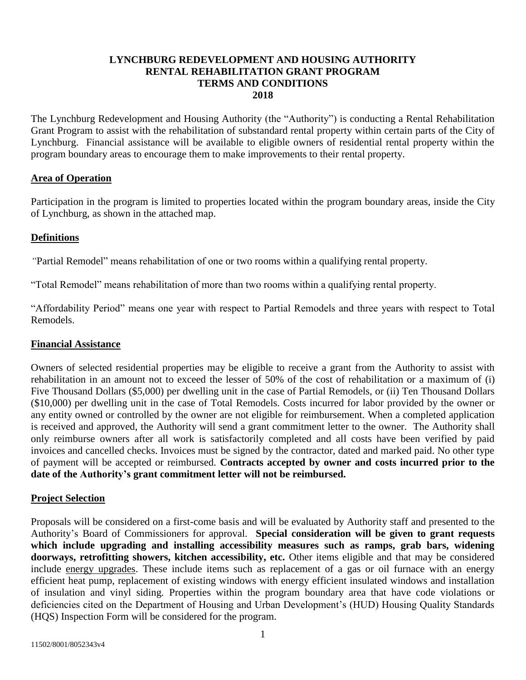### **LYNCHBURG REDEVELOPMENT AND HOUSING AUTHORITY RENTAL REHABILITATION GRANT PROGRAM TERMS AND CONDITIONS 2018**

The Lynchburg Redevelopment and Housing Authority (the "Authority") is conducting a Rental Rehabilitation Grant Program to assist with the rehabilitation of substandard rental property within certain parts of the City of Lynchburg. Financial assistance will be available to eligible owners of residential rental property within the program boundary areas to encourage them to make improvements to their rental property.

#### **Area of Operation**

Participation in the program is limited to properties located within the program boundary areas, inside the City of Lynchburg, as shown in the attached map.

#### **Definitions**

*"*Partial Remodel" means rehabilitation of one or two rooms within a qualifying rental property.

"Total Remodel" means rehabilitation of more than two rooms within a qualifying rental property.

"Affordability Period" means one year with respect to Partial Remodels and three years with respect to Total Remodels.

#### **Financial Assistance**

Owners of selected residential properties may be eligible to receive a grant from the Authority to assist with rehabilitation in an amount not to exceed the lesser of 50% of the cost of rehabilitation or a maximum of (i) Five Thousand Dollars (\$5,000) per dwelling unit in the case of Partial Remodels, or (ii) Ten Thousand Dollars (\$10,000) per dwelling unit in the case of Total Remodels. Costs incurred for labor provided by the owner or any entity owned or controlled by the owner are not eligible for reimbursement. When a completed application is received and approved, the Authority will send a grant commitment letter to the owner. The Authority shall only reimburse owners after all work is satisfactorily completed and all costs have been verified by paid invoices and cancelled checks. Invoices must be signed by the contractor, dated and marked paid. No other type of payment will be accepted or reimbursed. **Contracts accepted by owner and costs incurred prior to the date of the Authority's grant commitment letter will not be reimbursed.**

#### **Project Selection**

Proposals will be considered on a first-come basis and will be evaluated by Authority staff and presented to the Authority's Board of Commissioners for approval. **Special consideration will be given to grant requests which include upgrading and installing accessibility measures such as ramps, grab bars, widening doorways, retrofitting showers, kitchen accessibility, etc.** Other items eligible and that may be considered include energy upgrades. These include items such as replacement of a gas or oil furnace with an energy efficient heat pump, replacement of existing windows with energy efficient insulated windows and installation of insulation and vinyl siding. Properties within the program boundary area that have code violations or deficiencies cited on the Department of Housing and Urban Development's (HUD) Housing Quality Standards (HQS) Inspection Form will be considered for the program.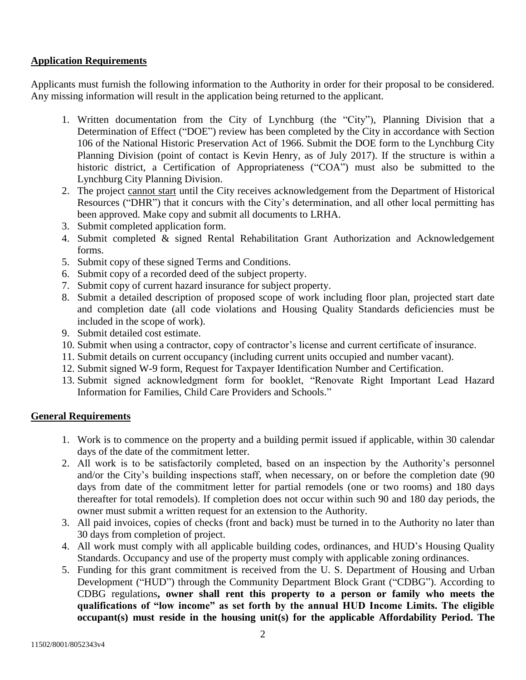## **Application Requirements**

Applicants must furnish the following information to the Authority in order for their proposal to be considered. Any missing information will result in the application being returned to the applicant.

- 1. Written documentation from the City of Lynchburg (the "City"), Planning Division that a Determination of Effect ("DOE") review has been completed by the City in accordance with Section 106 of the National Historic Preservation Act of 1966. Submit the DOE form to the Lynchburg City Planning Division (point of contact is Kevin Henry, as of July 2017). If the structure is within a historic district, a Certification of Appropriateness ("COA") must also be submitted to the Lynchburg City Planning Division.
- 2. The project cannot start until the City receives acknowledgement from the Department of Historical Resources ("DHR") that it concurs with the City's determination, and all other local permitting has been approved. Make copy and submit all documents to LRHA.
- 3. Submit completed application form.
- 4. Submit completed & signed Rental Rehabilitation Grant Authorization and Acknowledgement forms.
- 5. Submit copy of these signed Terms and Conditions.
- 6. Submit copy of a recorded deed of the subject property.
- 7. Submit copy of current hazard insurance for subject property.
- 8. Submit a detailed description of proposed scope of work including floor plan, projected start date and completion date (all code violations and Housing Quality Standards deficiencies must be included in the scope of work).
- 9. Submit detailed cost estimate.
- 10. Submit when using a contractor, copy of contractor's license and current certificate of insurance.
- 11. Submit details on current occupancy (including current units occupied and number vacant).
- 12. Submit signed W-9 form, Request for Taxpayer Identification Number and Certification.
- 13. Submit signed acknowledgment form for booklet, "Renovate Right Important Lead Hazard Information for Families, Child Care Providers and Schools."

#### **General Requirements**

- 1. Work is to commence on the property and a building permit issued if applicable, within 30 calendar days of the date of the commitment letter.
- 2. All work is to be satisfactorily completed, based on an inspection by the Authority's personnel and/or the City's building inspections staff, when necessary, on or before the completion date (90 days from date of the commitment letter for partial remodels (one or two rooms) and 180 days thereafter for total remodels). If completion does not occur within such 90 and 180 day periods, the owner must submit a written request for an extension to the Authority.
- 3. All paid invoices, copies of checks (front and back) must be turned in to the Authority no later than 30 days from completion of project.
- 4. All work must comply with all applicable building codes, ordinances, and HUD's Housing Quality Standards. Occupancy and use of the property must comply with applicable zoning ordinances.
- 5. Funding for this grant commitment is received from the U. S. Department of Housing and Urban Development ("HUD") through the Community Department Block Grant ("CDBG"). According to CDBG regulations**, owner shall rent this property to a person or family who meets the qualifications of "low income" as set forth by the annual HUD Income Limits. The eligible occupant(s) must reside in the housing unit(s) for the applicable Affordability Period. The**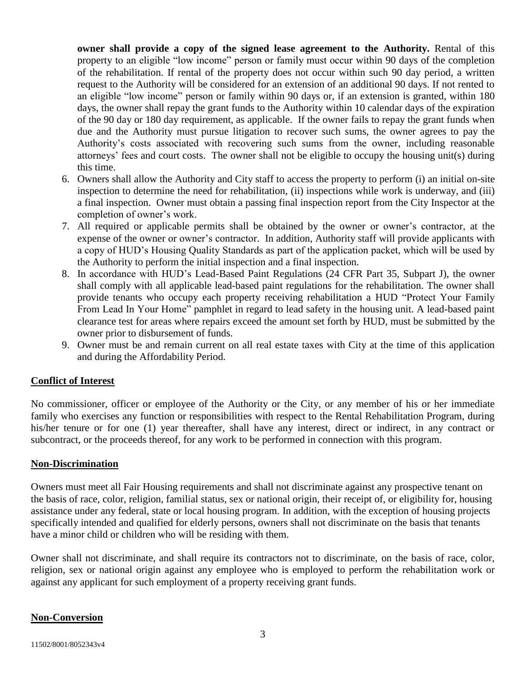**owner shall provide a copy of the signed lease agreement to the Authority.** Rental of this property to an eligible "low income" person or family must occur within 90 days of the completion of the rehabilitation. If rental of the property does not occur within such 90 day period, a written request to the Authority will be considered for an extension of an additional 90 days. If not rented to an eligible "low income" person or family within 90 days or, if an extension is granted, within 180 days, the owner shall repay the grant funds to the Authority within 10 calendar days of the expiration of the 90 day or 180 day requirement, as applicable. If the owner fails to repay the grant funds when due and the Authority must pursue litigation to recover such sums, the owner agrees to pay the Authority's costs associated with recovering such sums from the owner, including reasonable attorneys' fees and court costs. The owner shall not be eligible to occupy the housing unit(s) during this time.

- 6. Owners shall allow the Authority and City staff to access the property to perform (i) an initial on-site inspection to determine the need for rehabilitation, (ii) inspections while work is underway, and (iii) a final inspection. Owner must obtain a passing final inspection report from the City Inspector at the completion of owner's work.
- 7. All required or applicable permits shall be obtained by the owner or owner's contractor, at the expense of the owner or owner's contractor. In addition, Authority staff will provide applicants with a copy of HUD's Housing Quality Standards as part of the application packet, which will be used by the Authority to perform the initial inspection and a final inspection.
- 8. In accordance with HUD's Lead-Based Paint Regulations (24 CFR Part 35, Subpart J), the owner shall comply with all applicable lead-based paint regulations for the rehabilitation. The owner shall provide tenants who occupy each property receiving rehabilitation a HUD "Protect Your Family From Lead In Your Home" pamphlet in regard to lead safety in the housing unit. A lead-based paint clearance test for areas where repairs exceed the amount set forth by HUD, must be submitted by the owner prior to disbursement of funds.
- 9. Owner must be and remain current on all real estate taxes with City at the time of this application and during the Affordability Period.

## **Conflict of Interest**

No commissioner, officer or employee of the Authority or the City, or any member of his or her immediate family who exercises any function or responsibilities with respect to the Rental Rehabilitation Program, during his/her tenure or for one (1) year thereafter, shall have any interest, direct or indirect, in any contract or subcontract, or the proceeds thereof, for any work to be performed in connection with this program.

#### **Non-Discrimination**

Owners must meet all Fair Housing requirements and shall not discriminate against any prospective tenant on the basis of race, color, religion, familial status, sex or national origin, their receipt of, or eligibility for, housing assistance under any federal, state or local housing program. In addition, with the exception of housing projects specifically intended and qualified for elderly persons, owners shall not discriminate on the basis that tenants have a minor child or children who will be residing with them.

Owner shall not discriminate, and shall require its contractors not to discriminate, on the basis of race, color, religion, sex or national origin against any employee who is employed to perform the rehabilitation work or against any applicant for such employment of a property receiving grant funds.

#### **Non-Conversion**